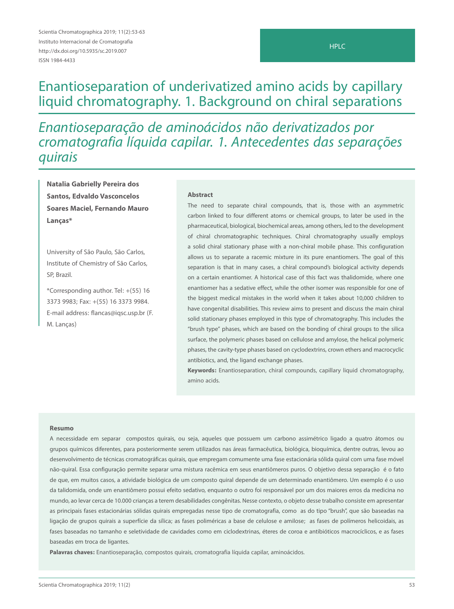# Enantioseparation of underivatized amino acids by capillary liquid chromatography. 1. Background on chiral separations

Enantioseparação de aminoácidos não derivatizados por cromatografia líquida capilar. 1. Antecedentes das separações quirais

**Natalia Gabrielly Pereira dos Santos, Edvaldo Vasconcelos Soares Maciel, Fernando Mauro Lanças\***

University of São Paulo, São Carlos, Institute of Chemistry of São Carlos, SP, Brazil.

\*Corresponding author. Tel: +(55) 16 3373 9983; Fax: +(55) 16 3373 9984. E-mail address: flancas@iqsc.usp.br (F. M. Lanças)

#### **Abstract**

The need to separate chiral compounds, that is, those with an asymmetric carbon linked to four different atoms or chemical groups, to later be used in the pharmaceutical, biological, biochemical areas, among others, led to the development of chiral chromatographic techniques. Chiral chromatography usually employs a solid chiral stationary phase with a non-chiral mobile phase. This configuration allows us to separate a racemic mixture in its pure enantiomers. The goal of this separation is that in many cases, a chiral compound's biological activity depends on a certain enantiomer. A historical case of this fact was thalidomide, where one enantiomer has a sedative effect, while the other isomer was responsible for one of the biggest medical mistakes in the world when it takes about 10,000 children to have congenital disabilities. This review aims to present and discuss the main chiral solid stationary phases employed in this type of chromatography. This includes the "brush type" phases, which are based on the bonding of chiral groups to the silica surface, the polymeric phases based on cellulose and amylose, the helical polymeric phases, the cavity-type phases based on cyclodextrins, crown ethers and macrocyclic antibiotics, and, the ligand exchange phases.

**Keywords:** Enantioseparation, chiral compounds, capillary liquid chromatography, amino acids.

#### **Resumo**

A necessidade em separar compostos quirais, ou seja, aqueles que possuem um carbono assimétrico ligado a quatro átomos ou grupos químicos diferentes, para posteriormente serem utilizados nas áreas farmacêutica, biológica, bioquímica, dentre outras, levou ao desenvolvimento de técnicas cromatográficas quirais, que empregam comumente uma fase estacionária sólida quiral com uma fase móvel não-quiral. Essa configuração permite separar uma mistura racêmica em seus enantiômeros puros. O objetivo dessa separação é o fato de que, em muitos casos, a atividade biológica de um composto quiral depende de um determinado enantiômero. Um exemplo é o uso da talidomida, onde um enantiômero possui efeito sedativo, enquanto o outro foi responsável por um dos maiores erros da medicina no mundo, ao levar cerca de 10.000 crianças a terem desabilidades congênitas. Nesse contexto, o objeto desse trabalho consiste em apresentar as principais fases estacionárias sólidas quirais empregadas nesse tipo de cromatografia, como as do tipo "brush", que são baseadas na ligação de grupos quirais a superfície da sílica; as fases poliméricas a base de celulose e amilose; as fases de polímeros helicoidais, as fases baseadas no tamanho e seletividade de cavidades como em ciclodextrinas, éteres de coroa e antibióticos macrocíclicos, e as fases baseadas em troca de ligantes.

**Palavras chaves:** Enantioseparação, compostos quirais, cromatografia líquida capilar, aminoácidos.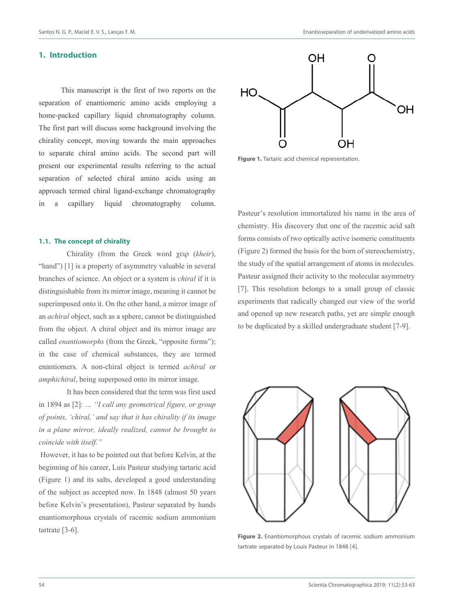#### **1. Introduction**

This manuscript is the first of two reports on the separation of enantiomeric amino acids employing a home-packed capillary liquid chromatography column. The first part will discuss some background involving the chirality concept, moving towards the main approaches to separate chiral amino acids. The second part will present our experimental results referring to the actual separation of selected chiral amino acids using an approach termed chiral ligand-exchange chromatography in a capillary liquid chromatography column.

#### **1.1. The concept of chirality**

Chirality (from the Greek word χειρ (*kheir*), "hand") [1] is a property of asymmetry valuable in several branches of science. An object or a system is *chiral* if it is distinguishable from its mirror image, meaning it cannot be superimposed onto it. On the other hand, a mirror image of an *achiral* object, such as a sphere, cannot be distinguished from the object. A chiral object and its mirror image are called *enantiomorphs* (from the Greek, "opposite forms"); in the case of chemical substances, they are termed enantiomers. A non-chiral object is termed *achiral* or *amphichiral*, being superposed onto its mirror image.

It has been considered that the term was first used in 1894 as [2]: *… "I call any geometrical figure, or group of points, 'chiral,' and say that it has chirality if its image in a plane mirror, ideally realized, cannot be brought to coincide with itself."*

 However, it has to be pointed out that before Kelvin, at the beginning of his career, Luis Pasteur studying tartaric acid (Figure 1) and its salts, developed a good understanding of the subject as accepted now. In 1848 (almost 50 years before Kelvin's presentation), Pasteur separated by hands enantiomorphous crystals of racemic sodium ammonium tartrate [3-6].



**Figure 1.** Tartaric acid chemical representation.

Pasteur's resolution immortalized his name in the area of chemistry. His discovery that one of the racemic acid salt forms consists of two optically active isomeric constituents (Figure 2) formed the basis for the born of stereochemistry, the study of the spatial arrangement of atoms in molecules. Pasteur assigned their activity to the molecular asymmetry [7]. This resolution belongs to a small group of classic experiments that radically changed our view of the world and opened up new research paths, yet are simple enough to be duplicated by a skilled undergraduate student [7-9].



**Figure 2.** Enantiomorphous crystals of racemic sodium ammonium tartrate separated by Louis Pasteur in 1848 [4].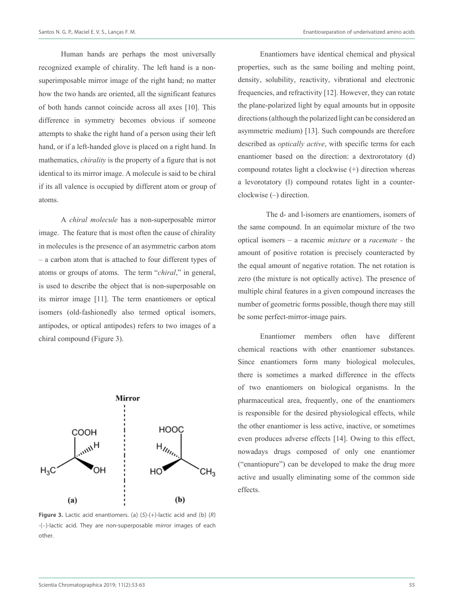Human hands are perhaps the most universally recognized example of chirality. The left hand is a nonsuperimposable mirror image of the right hand; no matter how the two hands are oriented, all the significant features of both hands cannot coincide across all axes [10]. This difference in symmetry becomes obvious if someone attempts to shake the right hand of a person using their left hand, or if a left-handed glove is placed on a right hand. In mathematics, *chirality* is the property of a figure that is not identical to its mirror image. A molecule is said to be chiral if its all valence is occupied by different atom or group of atoms.

A *chiral molecule* has a non-superposable mirror image. The feature that is most often the cause of chirality in molecules is the presence of an asymmetric carbon atom – a carbon atom that is attached to four different types of atoms or groups of atoms. The term "*chiral*," in general, is used to describe the object that is non-superposable on its mirror image [11]. The term enantiomers or optical isomers (old-fashionedly also termed optical isomers, antipodes, or optical antipodes) refers to two images of a chiral compound (Figure 3).



**Figure 3.** Lactic acid enantiomers. (a)  $(S)-(+)$ -lactic acid and (b)  $(R)$ -(–)-lactic acid. They are non-superposable mirror images of each other.

Enantiomers have identical chemical and physical properties, such as the same boiling and melting point, density, solubility, reactivity, vibrational and electronic frequencies, and refractivity [12]. However, they can rotate the plane-polarized light by equal amounts but in opposite directions (although the polarized light can be considered an asymmetric medium) [13]. Such compounds are therefore described as *optically active*, with specific terms for each enantiomer based on the direction: a dextrorotatory (d) compound rotates light a clockwise (+) direction whereas a levorotatory (l) compound rotates light in a counterclockwise (–) direction.

The d- and l-isomers are enantiomers, isomers of the same compound. In an equimolar mixture of the two optical isomers – a racemic *mixture* or a *racemate -* the amount of positive rotation is precisely counteracted by the equal amount of negative rotation. The net rotation is zero (the mixture is not optically active). The presence of multiple chiral features in a given compound increases the number of geometric forms possible, though there may still be some perfect-mirror-image pairs.

Enantiomer members often have different chemical reactions with other enantiomer substances. Since enantiomers form many biological molecules, there is sometimes a marked difference in the effects of two enantiomers on biological organisms. In the pharmaceutical area, frequently, one of the enantiomers is responsible for the desired physiological effects, while the other enantiomer is less active, inactive, or sometimes even produces adverse effects [14]. Owing to this effect, nowadays drugs composed of only one enantiomer ("enantiopure") can be developed to make the drug more active and usually eliminating some of the common side effects.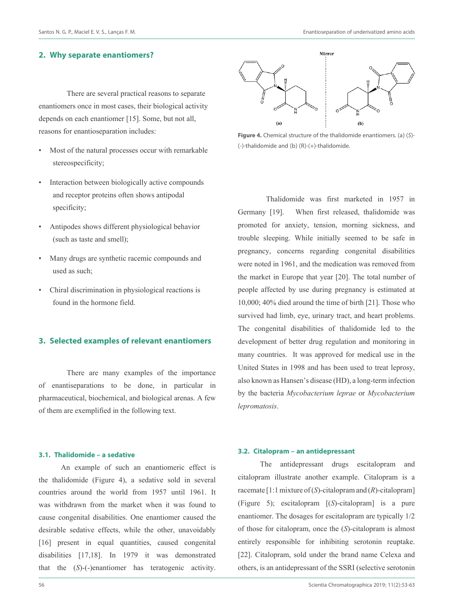## **2. Why separate enantiomers?**

 There are several practical reasons to separate enantiomers once in most cases, their biological activity depends on each enantiomer [15]. Some, but not all, reasons for enantioseparation includes:

- Most of the natural processes occur with remarkable stereospecificity;
- Interaction between biologically active compounds and receptor proteins often shows antipodal specificity;
- Antipodes shows different physiological behavior (such as taste and smell);
- Many drugs are synthetic racemic compounds and used as such;
- Chiral discrimination in physiological reactions is found in the hormone field.

# **3. Selected examples of relevant enantiomers**

There are many examples of the importance of enantiseparations to be done, in particular in pharmaceutical, biochemical, and biological arenas. A few of them are exemplified in the following text.

#### **3.1. Thalidomide – a sedative**

An example of such an enantiomeric effect is the thalidomide (Figure 4), a sedative sold in several countries around the world from 1957 until 1961. It was withdrawn from the market when it was found to cause congenital disabilities. One enantiomer caused the desirable sedative effects, while the other, unavoidably [16] present in equal quantities, caused congenital disabilities [17,18]. In 1979 it was demonstrated that the (*S*)-(-)enantiomer has teratogenic activity.



**Figure 4.** Chemical structure of the thalidomide enantiomers. (a) (S)- (-)-thalidomide and (b) (R)-(+)-thalidomide.

Thalidomide was first marketed in 1957 in Germany [19]. When first released, thalidomide was promoted for anxiety, tension, morning sickness, and trouble sleeping. While initially seemed to be safe in pregnancy, concerns regarding congenital disabilities were noted in 1961, and the medication was removed from the market in Europe that year [20]. The total number of people affected by use during pregnancy is estimated at 10,000; 40% died around the time of birth [21]. Those who survived had limb, eye, urinary tract, and heart problems. The congenital disabilities of thalidomide led to the development of better drug regulation and monitoring in many countries. It was approved for medical use in the United States in 1998 and has been used to treat leprosy, also known as Hansen's disease (HD), a long-term infection by the bacteria *Mycobacterium leprae* or *Mycobacterium lepromatosis*.

#### **3.2. Citalopram – an antidepressant**

The antidepressant drugs escitalopram and citalopram illustrate another example. Citalopram is a racemate[1:1 mixture of (*S*)-citalopram and (*R*)-citalopram] (Figure 5); escitalopram [(*S*)-citalopram] is a pure enantiomer. The dosages for escitalopram are typically 1/2 of those for citalopram, once the (*S*)-citalopram is almost entirely responsible for inhibiting serotonin reuptake. [22]. Citalopram, sold under the brand name Celexa and others, is an antidepressant of the SSRI (selective serotonin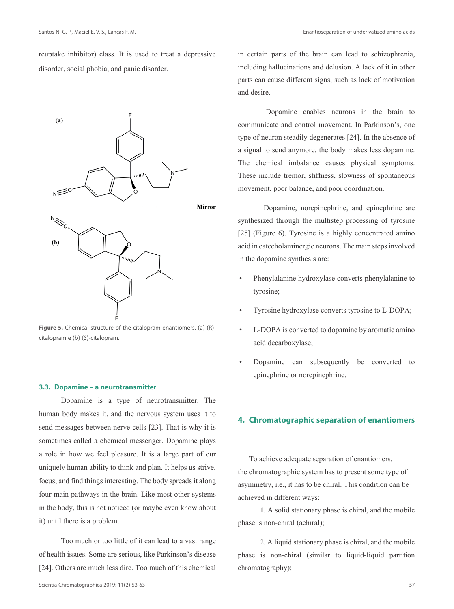reuptake inhibitor) class. It is used to treat a depressive disorder, social phobia, and panic disorder.



**Figure 5.** Chemical structure of the citalopram enantiomers. (a) (R) citalopram e (b) (S)-citalopram.

#### **3.3. Dopamine – a neurotransmitter**

Dopamine is a type of neurotransmitter. The human body makes it, and the nervous system uses it to send messages between nerve cells [23]. That is why it is sometimes called a chemical messenger. Dopamine plays a role in how we feel pleasure. It is a large part of our uniquely human ability to think and plan. It helps us strive, focus, and find things interesting. The body spreads it along four main pathways in the brain. Like most other systems in the body, this is not noticed (or maybe even know about it) until there is a problem.

Too much or too little of it can lead to a vast range of health issues. Some are serious, like Parkinson's disease [24]. Others are much less dire. Too much of this chemical in certain parts of the brain can lead to schizophrenia, including hallucinations and delusion. A lack of it in other parts can cause different signs, such as lack of motivation and desire.

 Dopamine enables neurons in the brain to communicate and control movement. In Parkinson's, one type of neuron steadily degenerates [24]. In the absence of a signal to send anymore, the body makes less dopamine. The chemical imbalance causes physical symptoms. These include tremor, stiffness, slowness of spontaneous movement, poor balance, and poor coordination.

 Dopamine, norepinephrine, and epinephrine are synthesized through the multistep processing of tyrosine [25] (Figure 6). Tyrosine is a highly concentrated amino acid in catecholaminergic neurons. The main steps involved in the dopamine synthesis are:

- Phenylalanine hydroxylase converts phenylalanine to tyrosine;
- Tyrosine hydroxylase converts tyrosine to L-DOPA;
- L-DOPA is converted to dopamine by aromatic amino acid decarboxylase;
- Dopamine can subsequently be converted to epinephrine or norepinephrine.

# **4. Chromatographic separation of enantiomers**

To achieve adequate separation of enantiomers, the chromatographic system has to present some type of asymmetry, i.e., it has to be chiral. This condition can be achieved in different ways:

1. A solid stationary phase is chiral, and the mobile phase is non-chiral (achiral);

2. A liquid stationary phase is chiral, and the mobile phase is non-chiral (similar to liquid-liquid partition chromatography);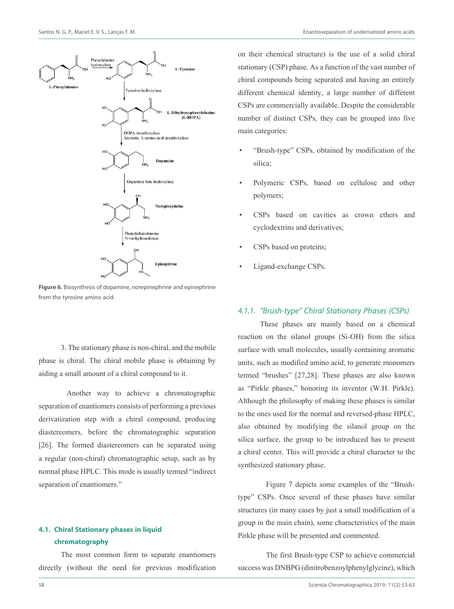

**Figure 6.**Biosynthesis of dopamine, norepinephrine and epinephrine from the tyrosine amino acid.

3. The stationary phase is non-chiral, and the mobile phase is chiral. The chiral mobile phase is obtaining by aiding a small amount of a chiral compound to it.

 Another way to achieve a chromatographic separation of enantiomers consists of performing a previous derivatization step with a chiral compound, producing diastereomers, before the chromatographic separation [26]. The formed diastereomers can be separated using a regular (non-chiral) chromatographic setup, such as by normal phase HPLC. This mode is usually termed "indirect separation of enantiomers."

# **4.1. Chiral Stationary phases in liquid chromatography**

The most common form to separate enantiomers directly (without the need for previous modification on their chemical structure) is the use of a solid chiral stationary (CSP) phase. As a function of the vast number of chiral compounds being separated and having an entirely different chemical identity, a large number of different CSPs are commercially available. Despite the considerable number of distinct CSPs, they can be grouped into five main categories:

- "Brush-type" CSPs, obtained by modification of the silica;
- Polymeric CSPs, based on cellulose and other polymers;
- CSPs based on cavities as crown ethers and cyclodextrins and derivatives;
- CSPs based on proteins;
- Ligand-exchange CSPs.

## 4.1.1. "Brush-type" Chiral Stationary Phases (CSPs)

These phases are mainly based on a chemical reaction on the silanol groups (Si-OH) from the silica surface with small molecules, usually containing aromatic units, such as modified amino acid, to generate monomers termed "brushes" [27,28]. These phases are also known as "Pirkle phases," honoring its inventor (W.H. Pirkle). Although the philosophy of making these phases is similar to the ones used for the normal and reversed-phase HPLC, also obtained by modifying the silanol group on the silica surface, the group to be introduced has to present a chiral center. This will provide a chiral character to the synthesized stationary phase.

Figure 7 depicts some examples of the "Brushtype" CSPs. Once several of these phases have similar structures (in many cases by just a small modification of a group in the main chain), some characteristics of the main Pirkle phase will be presented and commented.

The first Brush-type CSP to achieve commercial success was DNBPG (dinitrobenzoylphenylglycine), which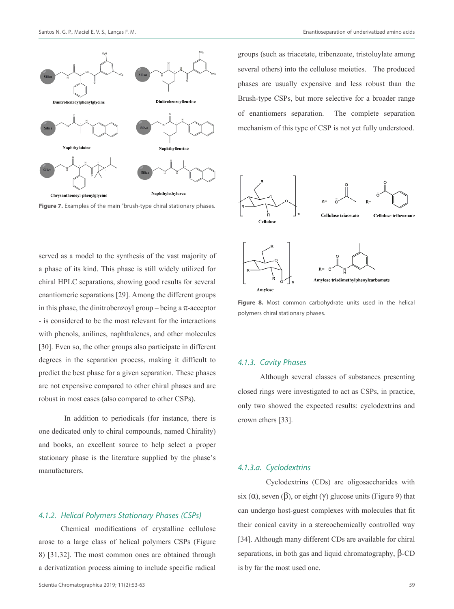



served as a model to the synthesis of the vast majority of a phase of its kind. This phase is still widely utilized for chiral HPLC separations, showing good results for several enantiomeric separations [29]. Among the different groups in this phase, the dinitrobenzoyl group – being a  $\pi$ -acceptor - is considered to be the most relevant for the interactions with phenols, anilines, naphthalenes, and other molecules [30]. Even so, the other groups also participate in different degrees in the separation process, making it difficult to predict the best phase for a given separation. These phases are not expensive compared to other chiral phases and are robust in most cases (also compared to other CSPs).

 In addition to periodicals (for instance, there is one dedicated only to chiral compounds, named Chirality) and books, an excellent source to help select a proper stationary phase is the literature supplied by the phase's manufacturers.

### 4.1.2. Helical Polymers Stationary Phases (CSPs)

Chemical modifications of crystalline cellulose arose to a large class of helical polymers CSPs (Figure 8) [31,32]. The most common ones are obtained through a derivatization process aiming to include specific radical

groups (such as triacetate, tribenzoate, tristoluylate among several others) into the cellulose moieties. The produced phases are usually expensive and less robust than the Brush-type CSPs, but more selective for a broader range of enantiomers separation. The complete separation mechanism of this type of CSP is not yet fully understood.



**Figure 8.** Most common carbohydrate units used in the helical polymers chiral stationary phases.

#### 4.1.3. Cavity Phases

Although several classes of substances presenting closed rings were investigated to act as CSPs, in practice, only two showed the expected results: cyclodextrins and crown ethers [33].

#### 4.1.3.a. Cyclodextrins

Cyclodextrins (CDs) are oligosaccharides with six ( $\alpha$ ), seven ( $\beta$ ), or eight ( $\gamma$ ) glucose units (Figure 9) that can undergo host-guest complexes with molecules that fit their conical cavity in a stereochemically controlled way [34]. Although many different CDs are available for chiral separations, in both gas and liquid chromatography, β-CD is by far the most used one.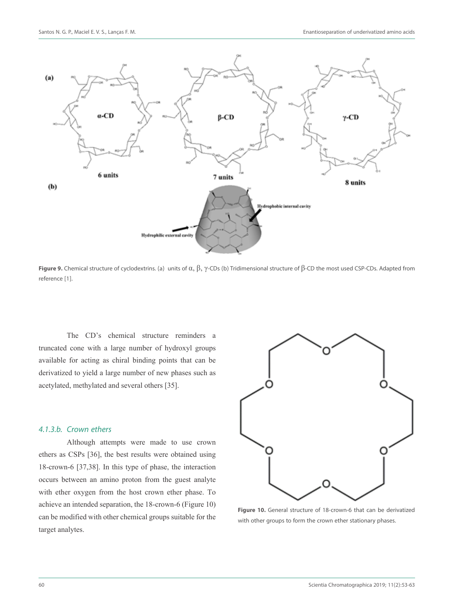

**Figure 9.** Chemical structure of cyclodextrins. (a) units of α, β, γ-CDs (b) Tridimensional structure of β-CD the most used CSP-CDs. Adapted from reference [1].

The CD's chemical structure reminders a truncated cone with a large number of hydroxyl groups available for acting as chiral binding points that can be derivatized to yield a large number of new phases such as acetylated, methylated and several others [35].

#### 4.1.3.b. Crown ethers

Although attempts were made to use crown ethers as CSPs [36], the best results were obtained using 18-crown-6 [37,38]. In this type of phase, the interaction occurs between an amino proton from the guest analyte with ether oxygen from the host crown ether phase. To achieve an intended separation, the 18-crown-6 (Figure 10) can be modified with other chemical groups suitable for the target analytes.



**Figure 10.** General structure of 18-crown-6 that can be derivatized with other groups to form the crown ether stationary phases.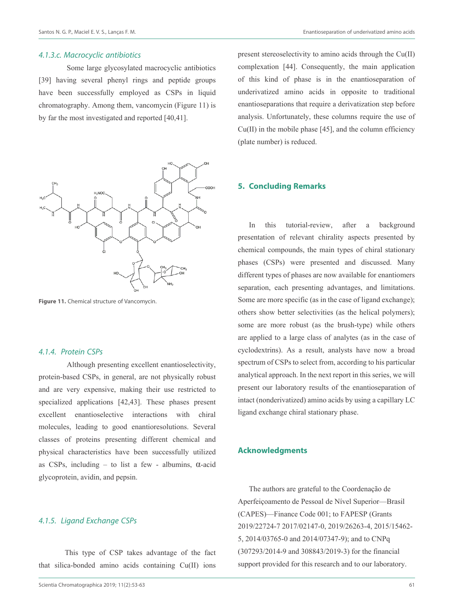#### 4.1.3.c. Macrocyclic antibiotics

Some large glycosylated macrocyclic antibiotics [39] having several phenyl rings and peptide groups have been successfully employed as CSPs in liquid chromatography. Among them, vancomycin (Figure 11) is by far the most investigated and reported [40,41].



**Figure 11.** Chemical structure of Vancomycin.

## 4.1.4. Protein CSPs

Although presenting excellent enantioselectivity, protein-based CSPs, in general, are not physically robust and are very expensive, making their use restricted to specialized applications [42,43]. These phases present excellent enantioselective interactions with chiral molecules, leading to good enantioresolutions. Several classes of proteins presenting different chemical and physical characteristics have been successfully utilized as CSPs, including – to list a few - albumins, α-acid glycoprotein, avidin, and pepsin.

## 4.1.5. Ligand Exchange CSPs

 This type of CSP takes advantage of the fact that silica-bonded amino acids containing Cu(II) ions present stereoselectivity to amino acids through the Cu(II) complexation [44]. Consequently, the main application of this kind of phase is in the enantioseparation of underivatized amino acids in opposite to traditional enantioseparations that require a derivatization step before analysis. Unfortunately, these columns require the use of  $Cu(II)$  in the mobile phase [45], and the column efficiency (plate number) is reduced.

## **5. Concluding Remarks**

In this tutorial-review, after a background presentation of relevant chirality aspects presented by chemical compounds, the main types of chiral stationary phases (CSPs) were presented and discussed. Many different types of phases are now available for enantiomers separation, each presenting advantages, and limitations. Some are more specific (as in the case of ligand exchange); others show better selectivities (as the helical polymers); some are more robust (as the brush-type) while others are applied to a large class of analytes (as in the case of cyclodextrins). As a result, analysts have now a broad spectrum of CSPs to select from, according to his particular analytical approach. In the next report in this series, we will present our laboratory results of the enantioseparation of intact (nonderivatized) amino acids by using a capillary LC ligand exchange chiral stationary phase.

## **Acknowledgments**

The authors are grateful to the Coordenação de Aperfeiçoamento de Pessoal de Nível Superior—Brasil (CAPES)—Finance Code 001; to FAPESP (Grants 2019/22724-7 2017/02147-0, 2019/26263-4, 2015/15462- 5, 2014/03765-0 and 2014/07347-9); and to CNPq (307293/2014-9 and 308843/2019-3) for the financial support provided for this research and to our laboratory.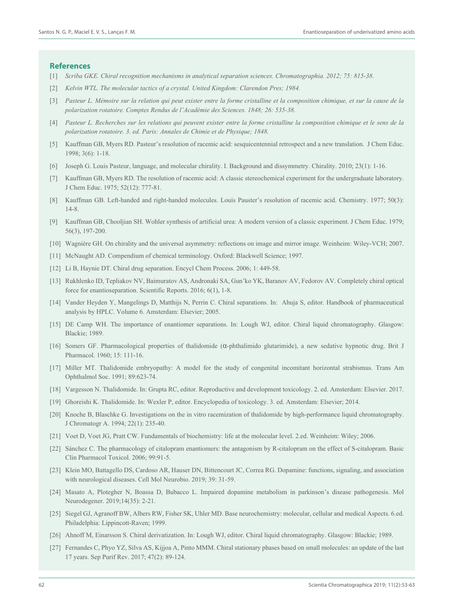#### **References**

- [1] *Scriba GKE. Chiral recognition mechanisms in analytical separation sciences. Chromatographia. 2012; 75: 815-38.*
- [2] *Kelvin WTL. The molecular tactics of a crystal. United Kingdom: Clarendon Pres; 1984.*
- [3] *Pasteur L. Mémoire sur la relation qui peut exister entre la forme cristalline et la composition chimique, et sur la cause de la polarization rotatoire. Comptes Rendus de l'Académie des Sciences. 1848; 26: 535-38.*
- [4] *Pasteur L. Recherches sur les relations qui peuvent exister entre la forme cristalline la composition chimique et le sens de la polarization rotatoire. 3. ed. Paris: Annales de Chimie et de Physique; 1848.*
- [5] Kauffman GB, Myers RD. Pasteur's resolution of racemic acid: sesquicentennial retrospect and a new translation. J Chem Educ. 1998; 3(6): 1-18.
- [6] Joseph G. Louis Pasteur, language, and molecular chirality. I. Background and dissymmetry. Chirality. 2010; 23(1): 1-16.
- [7] Kauffman GB, Myers RD. The resolution of racemic acid: A classic stereochemical experiment for the undergraduate laboratory. J Chem Educ. 1975; 52(12): 777-81.
- [8] Kauffman GB. Left-handed and right-handed molecules. Louis Pauster's resolution of racemic acid. Chemistry. 1977; 50(3): 14-8.
- [9] Kauffman GB, Chooljian SH. Wohler synthesis of artificial urea: A modern version of a classic experiment. J Chem Educ. 1979; 56(3), 197-200.
- [10] Wagnière GH. On chirality and the universal asymmetry: reflections on image and mirror image. Weinheim: Wiley-VCH; 2007.
- [11] McNaught AD. Compendium of chemical terminology. Oxford: Blackwell Science; 1997.
- [12] Li B, Haynie DT. Chiral drug separation. Encycl Chem Process. 2006; 1: 449-58.
- [13] Rukhlenko ID, Tepliakov NV, Baimuratov AS, Andronaki SA, Gun'ko YK, Baranov AV, Fedorov AV. Completely chiral optical force for enantioseparation. Scientific Reports. 2016; 6(1), 1-8.
- [14] Vander Heyden Y, Mangelings D, Matthijs N, Perrin C. Chiral separations. In: Ahuja S, editor. Handbook of pharmaceutical analysis by HPLC. Volume 6. Amsterdam: Elsevier; 2005.
- [15] DE Camp WH. The importance of enantiomer separations. In: Lough WJ, editor. Chiral liquid chromatography. Glasgow: Blackie; 1989.
- [16] Somers GF. Pharmacological properties of thalidomide (α-phthalimido glutarimide), a new sedative hypnotic drug. Brit J Pharmacol. 1960; 15: 111-16.
- [17] Miller MT. Thalidomide embryopathy: A model for the study of congenital incomitant horizontal strabismus. Trans Am Ophthalmol Soc. 1991; 89:623-74.
- [18] Vargesson N. Thalidomide. In: Grupta RC, editor. Reproductive and development toxicology. 2. ed. Amsterdam: Elsevier. 2017.
- [19] Ghoreishi K. Thalidomide. In: Wexler P, editor. Encyclopedia of toxicology. 3. ed. Amsterdam: Elsevier; 2014.
- [20] Knoche B, Blaschke G. Investigations on the in vitro racemization of thalidomide by high-performance liquid chromatography. J Chromatogr A. 1994; 22(1): 235-40.
- [21] Voet D, Voet JG, Pratt CW. Fundamentals of biochemistry: life at the molecular level. 2.ed. Weinheim: Wiley; 2006.
- [22] Sánchez C. The pharmacology of citalopram enantiomers: the antagonism by R-citalopram on the effect of S-citalopram. Basic Clin Pharmacol Toxicol. 2006; 99:91-5.
- [23] Klein MO, Battagello DS, Cardoso AR, Hauser DN, Bittencourt JC, Correa RG. Dopamine: functions, signaling, and association with neurological diseases. Cell Mol Neurobio. 2019; 39: 31-59.
- [24] Masato A, Plotegher N, Boassa D, Bubacco L. Impaired dopamine metabolism in parkinson's disease pathogenesis. Mol Neurodegener. 2019;14(35): 2-21.
- [25] Siegel GJ, Agranoff BW, Albers RW, Fisher SK, Uhler MD. Base neurochemistry: molecular, cellular and medical Aspects. 6.ed. Philadelphia: Lippincott-Raven; 1999.
- [26] Ahnoff M, Einarsson S. Chiral derivatization. In: Lough WJ, editor. Chiral liquid chromatography. Glasgow: Blackie; 1989.
- [27] Fernandes C, Phyo YZ, Silva AS, Kijjoa A, Pinto MMM. Chiral stationary phases based on small molecules: an update of the last 17 years. Sep Purif Rev. 2017; 47(2): 89-124.